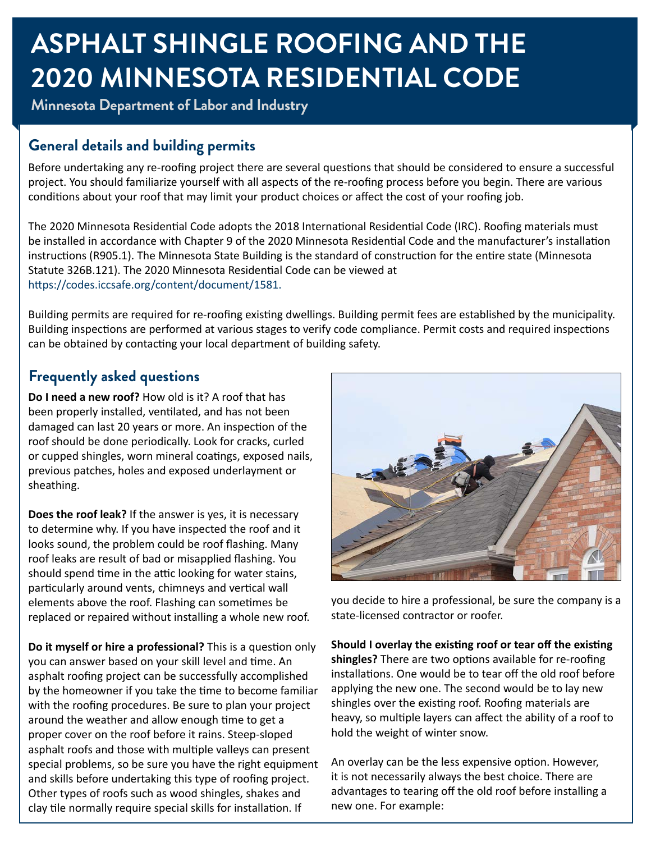## **ASPHALT SHINGLE ROOFING AND THE 2020 MINNESOTA RESIDENTIAL CODE**

**Minnesota Department of Labor and Industry**

### **General details and building permits**

Before undertaking any re-roofing project there are several questions that should be considered to ensure a successful project. You should familiarize yourself with all aspects of the re-roofing process before you begin. There are various conditions about your roof that may limit your product choices or affect the cost of your roofing job.

The 2020 Minnesota Residential Code adopts the 2018 International Residential Code (IRC). Roofing materials must be installed in accordance with Chapter 9 of the 2020 Minnesota Residential Code and the manufacturer's installation instructions (R905.1). The Minnesota State Building is the standard of construction for the entire state (Minnesota Statute 326B.121). The 2020 Minnesota Residential Code can be viewed at <https://codes.iccsafe.org/content/document/1581>.

Building permits are required for re-roofing existing dwellings. Building permit fees are established by the municipality. Building inspections are performed at various stages to verify code compliance. Permit costs and required inspections can be obtained by contacting your local department of building safety.

## **Frequently asked questions**

**Do I need a new roof?** How old is it? A roof that has been properly installed, ventilated, and has not been damaged can last 20 years or more. An inspection of the roof should be done periodically. Look for cracks, curled or cupped shingles, worn mineral coatings, exposed nails, previous patches, holes and exposed underlayment or sheathing.

**Does the roof leak?** If the answer is yes, it is necessary to determine why. If you have inspected the roof and it looks sound, the problem could be roof flashing. Many roof leaks are result of bad or misapplied flashing. You should spend time in the attic looking for water stains, particularly around vents, chimneys and vertical wall elements above the roof. Flashing can sometimes be replaced or repaired without installing a whole new roof.

**Do it myself or hire a professional?** This is a question only you can answer based on your skill level and time. An asphalt roofing project can be successfully accomplished by the homeowner if you take the time to become familiar with the roofing procedures. Be sure to plan your project around the weather and allow enough time to get a proper cover on the roof before it rains. Steep-sloped asphalt roofs and those with multiple valleys can present special problems, so be sure you have the right equipment and skills before undertaking this type of roofing project. Other types of roofs such as wood shingles, shakes and clay tile normally require special skills for installation. If



you decide to hire a professional, be sure the company is a state-licensed contractor or roofer.

**Should I overlay the existing roof or tear off the existing shingles?** There are two options available for re-roofing installations. One would be to tear off the old roof before applying the new one. The second would be to lay new shingles over the existing roof. Roofing materials are heavy, so multiple layers can affect the ability of a roof to hold the weight of winter snow.

An overlay can be the less expensive option. However, it is not necessarily always the best choice. There are advantages to tearing off the old roof before installing a new one. For example: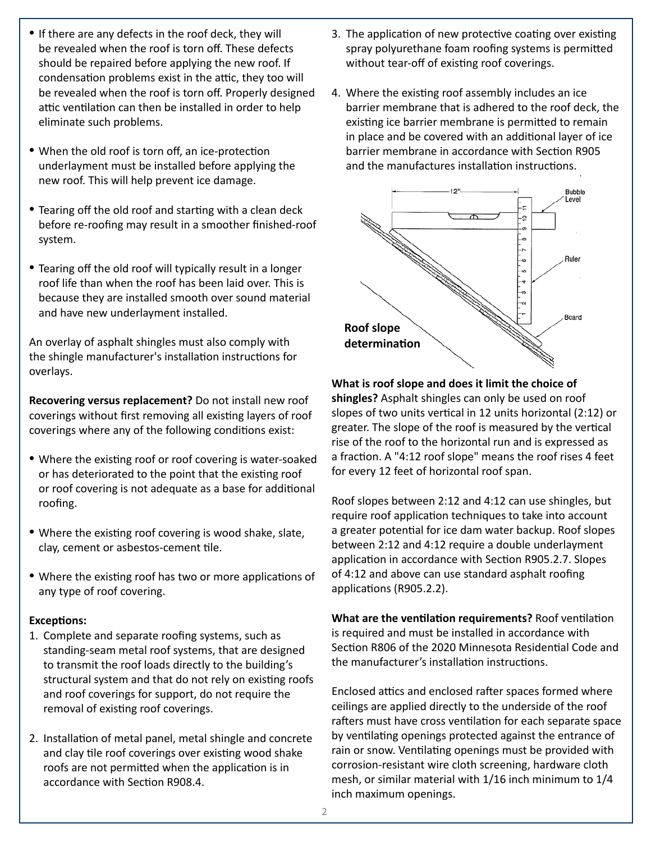- If there are any defects in the roof deck, they will be revealed when the roof is torn off. These defects should be repaired before applying the new roof. If condensation problems exist in the attic, they too will be revealed when the roof is torn off. Properly designed attic ventilation can then be installed in order to help eliminate such problems.
- When the old roof is torn off, an ice-protection underlayment must be installed before applying the new roof. This will help prevent ice damage.
- Tearing off the old roof and starting with a clean deck before re-roofing may result in a smoother finished-roof system.
- Tearing off the old roof will typically result in a longer roof life than when the roof has been laid over. This is because they are installed smooth over sound material and have new underlayment installed.

An overlay of asphalt shingles must also comply with the shingle manufacturer's installation instructions for overlays.

**Recovering versus replacement?** Do not install new roof coverings without first removing all existing layers of roof coverings where any of the following conditions exist:

- Where the existing roof or roof covering is water-soaked or has deteriorated to the point that the existing roof or roof covering is not adequate as a base for additional roofing.
- Where the existing roof covering is wood shake, slate, clay, cement or asbestos-cement tile.
- Where the existing roof has two or more applications of any type of roof covering.

#### **Exceptions:**

- 1. Complete and separate roofing systems, such as standing-seam metal roof systems, that are designed to transmit the roof loads directly to the building's structural system and that do not rely on existing roofs and roof coverings for support, do not require the removal of existing roof coverings.
- 2. Installation of metal panel, metal shingle and concrete and clay tile roof coverings over existing wood shake roofs are not permitted when the application is in accordance with Section R908.4.
- 3. The application of new protective coating over existing spray polyurethane foam roofing systems is permitted without tear-off of existing roof coverings.
- 4. Where the existing roof assembly includes an ice barrier membrane that is adhered to the roof deck, the existing ice barrier membrane is permitted to remain in place and be covered with an additional layer of ice barrier membrane in accordance with Section R905 and the manufactures installation instructions.



#### **What is roof slope and does it limit the choice of shingles?** Asphalt shingles can only be used on roof slopes of two units vertical in 12 units horizontal (2:12) or greater. The slope of the roof is measured by the vertical rise of the roof to the horizontal run and is expressed as a fraction. A "4:12 roof slope" means the roof rises 4 feet for every 12 feet of horizontal roof span.

Roof slopes between 2:12 and 4:12 can use shingles, but require roof application techniques to take into account a greater potential for ice dam water backup. Roof slopes between 2:12 and 4:12 require a double underlayment application in accordance with Section R905.2.7. Slopes of 4:12 and above can use standard asphalt roofing applications (R905.2.2).

**What are the ventilation requirements?** Roof ventilation is required and must be installed in accordance with Section R806 of the 2020 Minnesota Residential Code and the manufacturer's installation instructions.

Enclosed attics and enclosed rafter spaces formed where ceilings are applied directly to the underside of the roof rafters must have cross ventilation for each separate space by ventilating openings protected against the entrance of rain or snow. Ventilating openings must be provided with corrosion-resistant wire cloth screening, hardware cloth mesh, or similar material with 1/16 inch minimum to 1/4 inch maximum openings.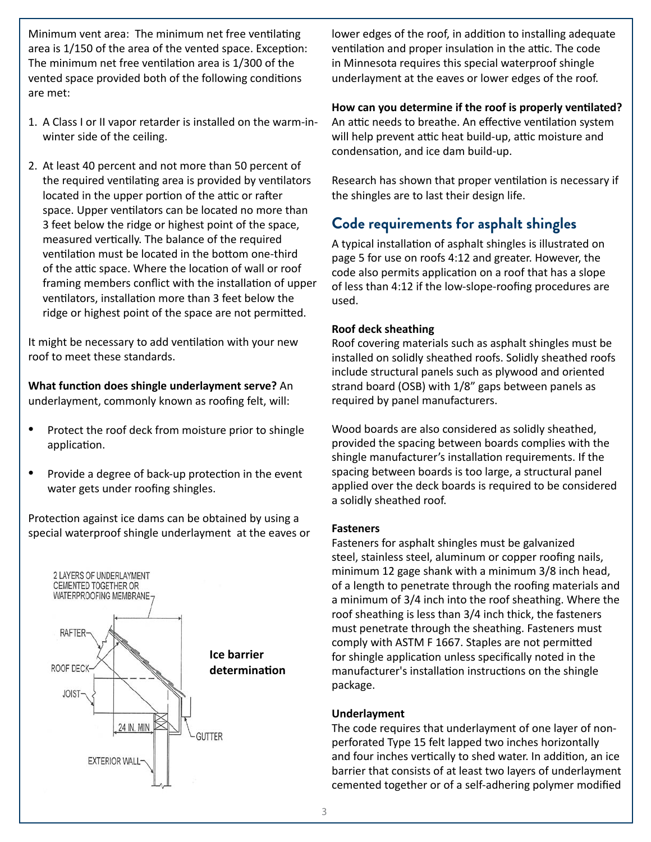Minimum vent area: The minimum net free ventilating area is 1/150 of the area of the vented space. Exception: The minimum net free ventilation area is 1/300 of the vented space provided both of the following conditions are met:

- 1. A Class I or II vapor retarder is installed on the warm-inwinter side of the ceiling.
- 2. At least 40 percent and not more than 50 percent of the required ventilating area is provided by ventilators located in the upper portion of the attic or rafter space. Upper ventilators can be located no more than 3 feet below the ridge or highest point of the space, measured vertically. The balance of the required ventilation must be located in the bottom one-third of the attic space. Where the location of wall or roof framing members conflict with the installation of upper ventilators, installation more than 3 feet below the ridge or highest point of the space are not permitted.

It might be necessary to add ventilation with your new roof to meet these standards.

**What function does shingle underlayment serve?** An underlayment, commonly known as roofing felt, will:

- Protect the roof deck from moisture prior to shingle application.
- Provide a degree of back-up protection in the event water gets under roofing shingles.

Protection against ice dams can be obtained by using a special waterproof shingle underlayment at the eaves or



lower edges of the roof, in addition to installing adequate ventilation and proper insulation in the attic. The code in Minnesota requires this special waterproof shingle underlayment at the eaves or lower edges of the roof.

#### **How can you determine if the roof is properly ventilated?**

An attic needs to breathe. An effective ventilation system will help prevent attic heat build-up, attic moisture and condensation, and ice dam build-up.

Research has shown that proper ventilation is necessary if the shingles are to last their design life.

## **Code requirements for asphalt shingles**

A typical installation of asphalt shingles is illustrated on page 5 for use on roofs 4:12 and greater. However, the code also permits application on a roof that has a slope of less than 4:12 if the low-slope-roofing procedures are used.

#### **Roof deck sheathing**

Roof covering materials such as asphalt shingles must be installed on solidly sheathed roofs. Solidly sheathed roofs include structural panels such as plywood and oriented strand board (OSB) with 1/8" gaps between panels as required by panel manufacturers.

Wood boards are also considered as solidly sheathed, provided the spacing between boards complies with the shingle manufacturer's installation requirements. If the spacing between boards is too large, a structural panel applied over the deck boards is required to be considered a solidly sheathed roof.

#### **Fasteners**

Fasteners for asphalt shingles must be galvanized steel, stainless steel, aluminum or copper roofing nails, minimum 12 gage shank with a minimum 3/8 inch head, of a length to penetrate through the roofing materials and a minimum of 3/4 inch into the roof sheathing. Where the roof sheathing is less than 3/4 inch thick, the fasteners must penetrate through the sheathing. Fasteners must comply with ASTM F 1667. Staples are not permitted for shingle application unless specifically noted in the manufacturer's installation instructions on the shingle package.

#### **Underlayment**

The code requires that underlayment of one layer of nonperforated Type 15 felt lapped two inches horizontally and four inches vertically to shed water. In addition, an ice barrier that consists of at least two layers of underlayment cemented together or of a self-adhering polymer modified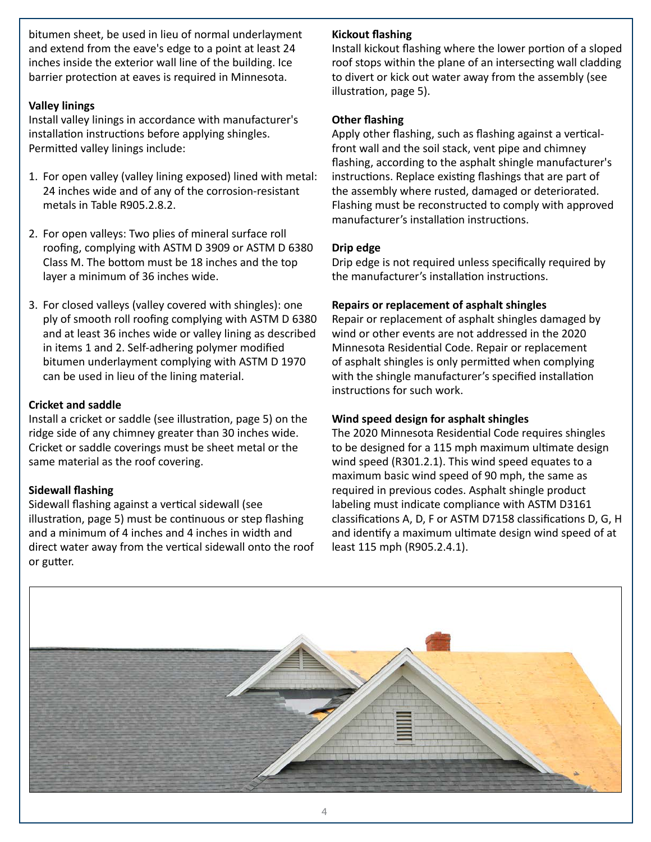bitumen sheet, be used in lieu of normal underlayment and extend from the eave's edge to a point at least 24 inches inside the exterior wall line of the building. Ice barrier protection at eaves is required in Minnesota.

#### **Valley linings**

Install valley linings in accordance with manufacturer's installation instructions before applying shingles. Permitted valley linings include:

- 1. For open valley (valley lining exposed) lined with metal: 24 inches wide and of any of the corrosion-resistant metals in Table R905.2.8.2.
- 2. For open valleys: Two plies of mineral surface roll roofing, complying with ASTM D 3909 or ASTM D 6380 Class M. The bottom must be 18 inches and the top layer a minimum of 36 inches wide.
- 3. For closed valleys (valley covered with shingles): one ply of smooth roll roofing complying with ASTM D 6380 and at least 36 inches wide or valley lining as described in items 1 and 2. Self-adhering polymer modified bitumen underlayment complying with ASTM D 1970 can be used in lieu of the lining material.

#### **Cricket and saddle**

Install a cricket or saddle (see illustration, page 5) on the ridge side of any chimney greater than 30 inches wide. Cricket or saddle coverings must be sheet metal or the same material as the roof covering.

#### **Sidewall flashing**

Sidewall flashing against a vertical sidewall (see illustration, page 5) must be continuous or step flashing and a minimum of 4 inches and 4 inches in width and direct water away from the vertical sidewall onto the roof or gutter.

#### **Kickout flashing**

Install kickout flashing where the lower portion of a sloped roof stops within the plane of an intersecting wall cladding to divert or kick out water away from the assembly (see illustration, page 5).

#### **Other flashing**

Apply other flashing, such as flashing against a verticalfront wall and the soil stack, vent pipe and chimney flashing, according to the asphalt shingle manufacturer's instructions. Replace existing flashings that are part of the assembly where rusted, damaged or deteriorated. Flashing must be reconstructed to comply with approved manufacturer's installation instructions.

#### **Drip edge**

Drip edge is not required unless specifically required by the manufacturer's installation instructions.

#### **Repairs or replacement of asphalt shingles**

Repair or replacement of asphalt shingles damaged by wind or other events are not addressed in the 2020 Minnesota Residential Code. Repair or replacement of asphalt shingles is only permitted when complying with the shingle manufacturer's specified installation instructions for such work.

#### **Wind speed design for asphalt shingles**

The 2020 Minnesota Residential Code requires shingles to be designed for a 115 mph maximum ultimate design wind speed (R301.2.1). This wind speed equates to a maximum basic wind speed of 90 mph, the same as required in previous codes. Asphalt shingle product labeling must indicate compliance with ASTM D3161 classifications A, D, F or ASTM D7158 classifications D, G, H and identify a maximum ultimate design wind speed of at least 115 mph (R905.2.4.1).